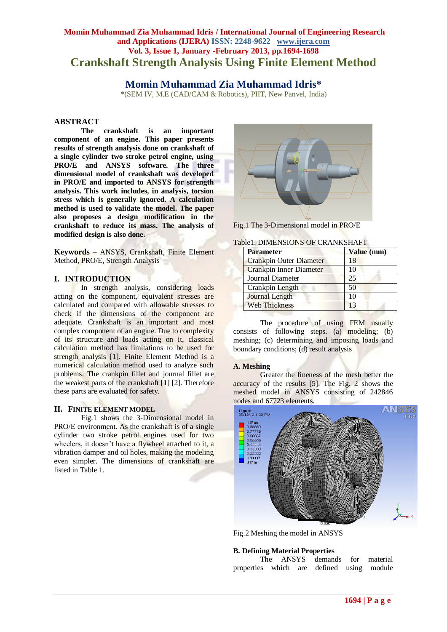## **Momin Muhammad Zia Muhammad Idris / International Journal of Engineering Research and Applications (IJERA) ISSN: 2248-9622 www.ijera.com Vol. 3, Issue 1, January -February 2013, pp.1694-1698 Crankshaft Strength Analysis Using Finite Element Method**

# **Momin Muhammad Zia Muhammad Idris\***

\*(SEM IV, M.E (CAD/CAM & Robotics), PIIT, New Panvel, India)

## **ABSTRACT**

**The crankshaft is an important component of an engine. This paper presents results of strength analysis done on crankshaft of a single cylinder two stroke petrol engine, using PRO/E and ANSYS software. The three dimensional model of crankshaft was developed in PRO/E and imported to ANSYS for strength analysis. This work includes, in analysis, torsion stress which is generally ignored. A calculation method is used to validate the model. The paper also proposes a design modification in the crankshaft to reduce its mass. The analysis of modified design is also done.**

**Keywords** – ANSYS, Crankshaft, Finite Element Method, PRO/E, Strength Analysis

## **I. INTRODUCTION**

In strength analysis, considering loads acting on the component, equivalent stresses are calculated and compared with allowable stresses to check if the dimensions of the component are adequate. Crankshaft is an important and most complex component of an engine. Due to complexity of its structure and loads acting on it, classical calculation method has limitations to be used for strength analysis [1]. Finite Element Method is a numerical calculation method used to analyze such problems. The crankpin fillet and journal fillet are the weakest parts of the crankshaft [1] [2]. Therefore these parts are evaluated for safety.

#### **II. FINITE ELEMENT MODEL**

Fig.1 shows the 3-Dimensional model in PRO/E environment. As the crankshaft is of a single cylinder two stroke petrol engines used for two wheelers, it doesn't have a flywheel attached to it, a vibration damper and oil holes, making the modeling even simpler. The dimensions of crankshaft are listed in Table 1.



Fig.1 The 3-Dimensional model in PRO/E

| Table1. DIMENSIONS OF CRANKSHAFT |  |
|----------------------------------|--|
|----------------------------------|--|

| <b>Parameter</b>               | Value (mm) |
|--------------------------------|------------|
| Crankpin Outer Diameter        | 18         |
| <b>Crankpin Inner Diameter</b> | 10         |
| Journal Diameter               | 25         |
| Crankpin Length                | 50         |
| <b>Journal Length</b>          | 10         |
| <b>Web Thickness</b>           | 13         |

The procedure of using FEM usually consists of following steps. (a) modeling; (b) meshing; (c) determining and imposing loads and boundary conditions; (d) result analysis

#### **A. Meshing**

Greater the fineness of the mesh better the accuracy of the results [5]. The Fig. 2 shows the meshed model in ANSYS consisting of 242846 nodes and 67723 elements.



Fig.2 Meshing the model in ANSYS

#### **B. Defining Material Properties**

The ANSYS demands for material properties which are defined using module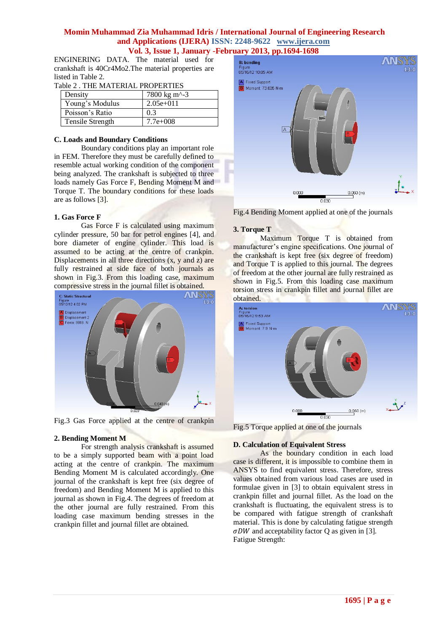ENGINERING DATA. The material used for crankshaft is 40Cr4Mo2.The material properties are listed in Table 2.

| Density          | 7800 kg m <sup><math>\sim</math>-3</sup> |
|------------------|------------------------------------------|
| Young's Modulus  | $2.05e+011$                              |
| Poisson's Ratio  | 0.3                                      |
| Tensile Strength | $7.7e+008$                               |

## **C. Loads and Boundary Conditions**

Boundary conditions play an important role in FEM. Therefore they must be carefully defined to resemble actual working condition of the component being analyzed. The crankshaft is subjected to three loads namely Gas Force F, Bending Moment M and Torque T. The boundary conditions for these loads are as follows [3].

## **1. Gas Force F**

Gas Force F is calculated using maximum cylinder pressure, 50 bar for petrol engines [4], and bore diameter of engine cylinder. This load is assumed to be acting at the centre of crankpin. Displacements in all three directions  $(x, y, z)$  are fully restrained at side face of both journals as shown in Fig.3. From this loading case, maximum compressive stress in the journal fillet is obtained.



Fig.3 Gas Force applied at the centre of crankpin

#### **2. Bending Moment M**

For strength analysis crankshaft is assumed to be a simply supported beam with a point load acting at the centre of crankpin. The maximum Bending Moment M is calculated accordingly. One journal of the crankshaft is kept free (six degree of freedom) and Bending Moment M is applied to this journal as shown in Fig.4. The degrees of freedom at the other journal are fully restrained. From this loading case maximum bending stresses in the crankpin fillet and journal fillet are obtained.



Fig.4 Bending Moment applied at one of the journals

## **3. Torque T**

Maximum Torque T is obtained from manufacturer's engine specifications. One journal of the crankshaft is kept free (six degree of freedom) and Torque T is applied to this journal. The degrees of freedom at the other journal are fully restrained as shown in Fig.5. From this loading case maximum torsion stress in crankpin fillet and journal fillet are obtained.



Fig.5 Torque applied at one of the journals

#### **D. Calculation of Equivalent Stress**

As the boundary condition in each load case is different, it is impossible to combine them in ANSYS to find equivalent stress. Therefore, stress values obtained from various load cases are used in formulae given in [3] to obtain equivalent stress in crankpin fillet and journal fillet. As the load on the crankshaft is fluctuating, the equivalent stress is to be compared with fatigue strength of crankshaft material. This is done by calculating fatigue strength  $\sigma$ DW and acceptability factor O as given in [3]. Fatigue Strength: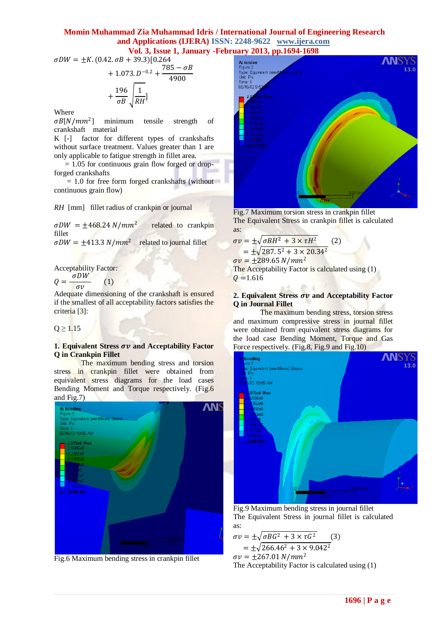$\sigma D W = \pm K. (0.42. \sigma B + 39.3)[0.264]$  $+1.073 \cdot D^{-0.2} + \frac{785 - \sigma B}{4000}$ 4900

$$
+\frac{196}{\sigma B} \sqrt{\frac{1}{RH}}
$$

Where

 $\sigma B[N/mm^2]$ minimum tensile strength of crankshaft material

K [-] factor for different types of crankshafts without surface treatment. Values greater than 1 are only applicable to fatigue strength in fillet area.

 $= 1.05$  for continuous grain flow forged or dropforged crankshafts

 $= 1.0$  for free form forged crankshafts (without continuous grain flow)

*RH* [mm]fillet radius of crankpin or journal

 $\sigma D W = \pm 468.24 N/mm^2$  related to crankpin fillet

 $\sigma D W = \pm 413.3 \ N/mm^2$  related to journal fillet

Acceptability Factor:

 $Q=\frac{\sigma DW}{\sqrt{2\pi}}$  $\sigma v$ (1)

Adequate dimensioning of the crankshaft is ensured if the smallest of all acceptability factors satisfies the criteria [3]:

 $Q \ge 1.15$ 

## **1. Equivalent Stress**  $\sigma v$  **and Acceptability Factor Q in Crankpin Fillet**

The maximum bending stress and torsion stress in crankpin fillet were obtained from equivalent stress diagrams for the load cases Bending Moment and Torque respectively. (Fig.6 and Fig.7)



Fig.6 Maximum bending stress in crankpin fillet



Fig.7 Maximum torsion stress in crankpin fillet The Equivalent Stress in crankpin fillet is calculated as:

$$
\sigma v = \pm \sqrt{\sigma B H^2 + 3 \times \tau H^2} \tag{2}
$$

$$
= \pm \sqrt{287.5^2 + 3 \times 20.34^2}
$$

 $\sigma v = +289.65 N/mm^2$ 

The Acceptability Factor is calculated using (1)  $Q = 1.616$ 

## **2. Equivalent Stress**  $\sigma v$  **and Acceptability Factor Q in Journal Fillet**

The maximum bending stress, torsion stress and maximum compressive stress in journal fillet were obtained from equivalent stress diagrams for the load case Bending Moment, Torque and Gas Force respectively. (Fig.8, Fig.9 and Fig.10)



Fig.9 Maximum bending stress in journal fillet The Equivalent Stress in journal fillet is calculated as:

$$
\sigma v = \pm \sqrt{\sigma B G^2 + 3 \times \tau G^2}
$$
\n
$$
= \pm \sqrt{266.46^2 + 3 \times 9.042^2}
$$
\n(3)

 $\sigma v = \pm 267.01 \ N/mm^2$ 

The Acceptability Factor is calculated using (1)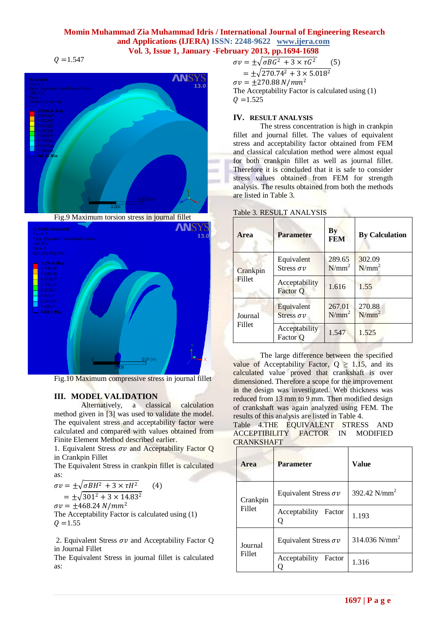$Q = 1.547$ 





Fig.10 Maximum compressive stress in journal fillet

## **III. MODEL VALIDATION**

Alternatively, a classical calculation method given in [3] was used to validate the model. The equivalent stress and acceptability factor were calculated and compared with values obtained from Finite Element Method described earlier.

1. Equivalent Stress  $\sigma v$  and Acceptability Factor Q in Crankpin Fillet

The Equivalent Stress in crankpin fillet is calculated as:

 $\sigma v = \pm \sqrt{\sigma B H^2 + 3 \times \tau H^2}$  (4)  $= \pm \sqrt{301^2 + 3 \times 14.83^2}$  $\sigma v = +468.24 \text{ N/mm}^2$ 

The Acceptability Factor is calculated using (1)  $Q = 1.55$ 

2. Equivalent Stress  $\sigma v$  and Acceptability Factor Q in Journal Fillet

The Equivalent Stress in journal fillet is calculated as:

 $\sigma v = \pm \sqrt{\sigma B G^2 + 3 \times \tau G^2}$  (5)  $=\pm\sqrt{270.74^2+3\times5.018^2}$  $\sigma v = \pm 270.88 \ N/mm^2$ The Acceptability Factor is calculated using (1)  $Q = 1.525$ 

#### **IV. RESULT ANALYSIS**

The stress concentration is high in crankpin fillet and journal fillet. The values of equivalent stress and acceptability factor obtained from FEM and classical calculation method were almost equal for both crankpin fillet as well as journal fillet. Therefore it is concluded that it is safe to consider stress values obtained from FEM for strength analysis. The results obtained from both the methods are listed in Table 3.

#### Table 3. RESULT ANALYSIS

| Area              | <b>Parameter</b>                  | $\mathbf{B}\mathbf{y}$<br><b>FEM</b> | <b>By Calculation</b> |
|-------------------|-----------------------------------|--------------------------------------|-----------------------|
| Crankpin          | Equivalent<br>Stress $\sigma v$   | 289.65<br>$N/mm^2$                   | 302.09<br>$N/mm^2$    |
| Fillet            | Acceptability<br>Factor Q         | 1.616                                | 1.55                  |
| Journal<br>Fillet | Equivalent<br>Stress $\sigma \nu$ | 267.01<br>$N/mm^2$                   | 270.88<br>$N/mm^2$    |
|                   | Acceptability<br>Factor O         | 1.547                                | 1.525                 |

The large difference between the specified value of Acceptability Factor,  $Q \ge 1.15$ , and its calculated value proved that crankshaft is over dimensioned. Therefore a scope for the improvement in the design was investigated. Web thickness was reduced from 13 mm to 9 mm. Then modified design of crankshaft was again analyzed using FEM. The results of this analysis are listed in Table 4.

Table 4.THE EQUIVALENT STRESS AND ACCEPTIBILITY FACTOR IN MODIFIED CRANKSHAFT

| Area              | <b>Parameter</b>             | <b>Value</b>              |
|-------------------|------------------------------|---------------------------|
| Crankpin          | Equivalent Stress $\sigma v$ | 392.42 N/mm <sup>2</sup>  |
| Fillet            | Acceptability<br>Factor      | 1.193                     |
| Journal<br>Fillet | Equivalent Stress $\sigma v$ | 314.036 N/mm <sup>2</sup> |
|                   | Acceptability<br>Factor      | 1.316                     |